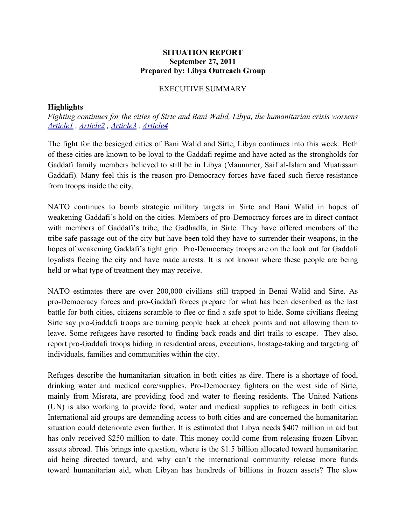## **SITUATION REPORT September 27, 2011 Prepared by: Libya Outreach Group**

## EXECUTIVE SUMMARY

## **Highlights**

*Fighting continues for the cities of Sirte and Bani Walid, Libya, the humanitarian crisis worsens [Article1](http://www.voanews.com/english/news/africa/Libyan-Forces-Close-in-on-Sirte-130601813.html) , [Article2](http://news.xinhuanet.com/english2010/world/2011-09/27/c_131161374.htm) , [Article3](http://edition.cnn.com/2011/09/26/world/africa/libya-war/) , [Article4](http://www.cbsnews.com/stories/2011/09/27/ap/middleeast/main20112050.shtml)*

The fight for the besieged cities of Bani Walid and Sirte, Libya continues into this week. Both of these cities are known to be loyal to the Gaddafi regime and have acted as the strongholds for Gaddafi family members believed to still be in Libya (Maummer, Saif al-Islam and Muatissam Gaddafi). Many feel this is the reason pro-Democracy forces have faced such fierce resistance from troops inside the city.

NATO continues to bomb strategic military targets in Sirte and Bani Walid in hopes of weakening Gaddafi's hold on the cities. Members of pro-Democracy forces are in direct contact with members of Gaddafi's tribe, the Gadhadfa, in Sirte. They have offered members of the tribe safe passage out of the city but have been told they have to surrender their weapons, in the hopes of weakening Gaddafi's tight grip. Pro-Democracy troops are on the look out for Gaddafi loyalists fleeing the city and have made arrests. It is not known where these people are being held or what type of treatment they may receive.

NATO estimates there are over 200,000 civilians still trapped in Benai Walid and Sirte. As pro-Democracy forces and pro-Gaddafi forces prepare for what has been described as the last battle for both cities, citizens scramble to flee or find a safe spot to hide. Some civilians fleeing Sirte say pro-Gaddafi troops are turning people back at check points and not allowing them to leave. Some refugees have resorted to finding back roads and dirt trails to escape. They also, report pro-Gaddafi troops hiding in residential areas, executions, hostage-taking and targeting of individuals, families and communities within the city.

Refuges describe the humanitarian situation in both cities as dire. There is a shortage of food, drinking water and medical care/supplies. Pro-Democracy fighters on the west side of Sirte, mainly from Misrata, are providing food and water to fleeing residents. The United Nations (UN) is also working to provide food, water and medical supplies to refugees in both cities. International aid groups are demanding access to both cities and are concerned the humanitarian situation could deteriorate even further. It is estimated that Libya needs \$407 million in aid but has only received \$250 million to date. This money could come from releasing frozen Libyan assets abroad. This brings into question, where is the \$1.5 billion allocated toward humanitarian aid being directed toward, and why can't the international community release more funds toward humanitarian aid, when Libyan has hundreds of billions in frozen assets? The slow